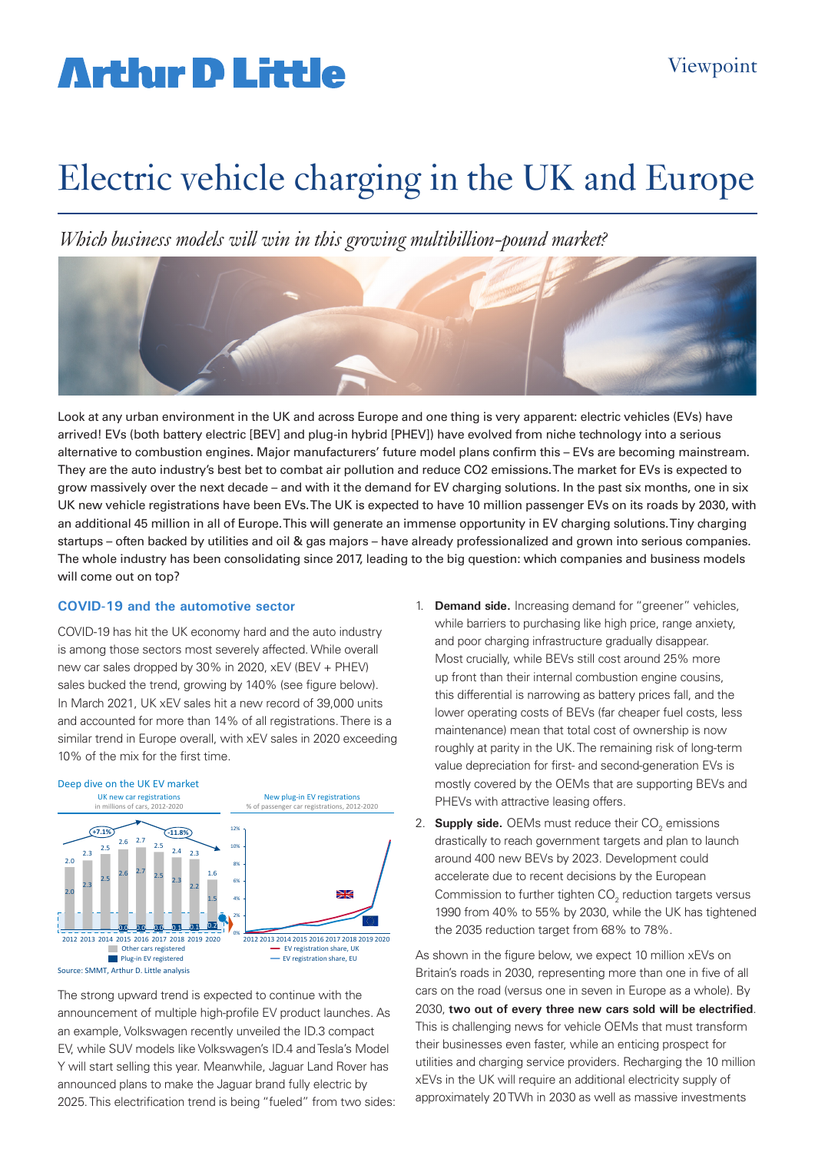# **Arthur D Little**

# Electric vehicle charging in the UK and Europe

*Which business models will win in this growing multibillion-pound market?*



Look at any urban environment in the UK and across Europe and one thing is very apparent: electric vehicles (EVs) have arrived! EVs (both battery electric [BEV] and plug-in hybrid [PHEV]) have evolved from niche technology into a serious alternative to combustion engines. Major manufacturers' future model plans confirm this – EVs are becoming mainstream. They are the auto industry's best bet to combat air pollution and reduce CO2 emissions. The market for EVs is expected to grow massively over the next decade – and with it the demand for EV charging solutions. In the past six months, one in six UK new vehicle registrations have been EVs. The UK is expected to have 10 million passenger EVs on its roads by 2030, with an additional 45 million in all of Europe. This will generate an immense opportunity in EV charging solutions. Tiny charging startups – often backed by utilities and oil & gas majors – have already professionalized and grown into serious companies. The whole industry has been consolidating since 2017, leading to the big question: which companies and business models will come out on top?

### **COVID-19 and the automotive sector**

COVID-19 has hit the UK economy hard and the auto industry is among those sectors most severely affected. While overall new car sales dropped by 30% in 2020, xEV (BEV + PHEV) sales bucked the trend, growing by 140% (see figure below). In March 2021, UK xEV sales hit a new record of 39,000 units and accounted for more than 14% of all registrations. There is a similar trend in Europe overall, with xEV sales in 2020 exceeding 10% of the mix for the first time.



The strong upward trend is expected to continue with the announcement of multiple high-profile EV product launches. As an example, Volkswagen recently unveiled the ID.3 compact EV, while SUV models like Volkswagen's ID.4 and Tesla's Model Y will start selling this year. Meanwhile, Jaguar Land Rover has announced plans to make the Jaguar brand fully electric by 2025. This electrification trend is being "fueled" from two sides:

- 1. **Demand side.** Increasing demand for "greener" vehicles, while barriers to purchasing like high price, range anxiety, and poor charging infrastructure gradually disappear. Most crucially, while BEVs still cost around 25% more up front than their internal combustion engine cousins, this differential is narrowing as battery prices fall, and the lower operating costs of BEVs (far cheaper fuel costs, less maintenance) mean that total cost of ownership is now roughly at parity in the UK. The remaining risk of long-term value depreciation for first- and second-generation EVs is mostly covered by the OEMs that are supporting BEVs and PHEVs with attractive leasing offers.
- 2. **Supply side.** OEMs must reduce their CO<sub>2</sub> emissions drastically to reach government targets and plan to launch around 400 new BEVs by 2023. Development could accelerate due to recent decisions by the European Commission to further tighten  $\mathsf{CO}_2$  reduction targets versus 1990 from 40% to 55% by 2030, while the UK has tightened the 2035 reduction target from 68% to 78%.

As shown in the figure below, we expect 10 million xEVs on Britain's roads in 2030, representing more than one in five of all cars on the road (versus one in seven in Europe as a whole). By 2030, **two out of every three new cars sold will be electrified**. This is challenging news for vehicle OEMs that must transform their businesses even faster, while an enticing prospect for utilities and charging service providers. Recharging the 10 million xEVs in the UK will require an additional electricity supply of approximately 20 TWh in 2030 as well as massive investments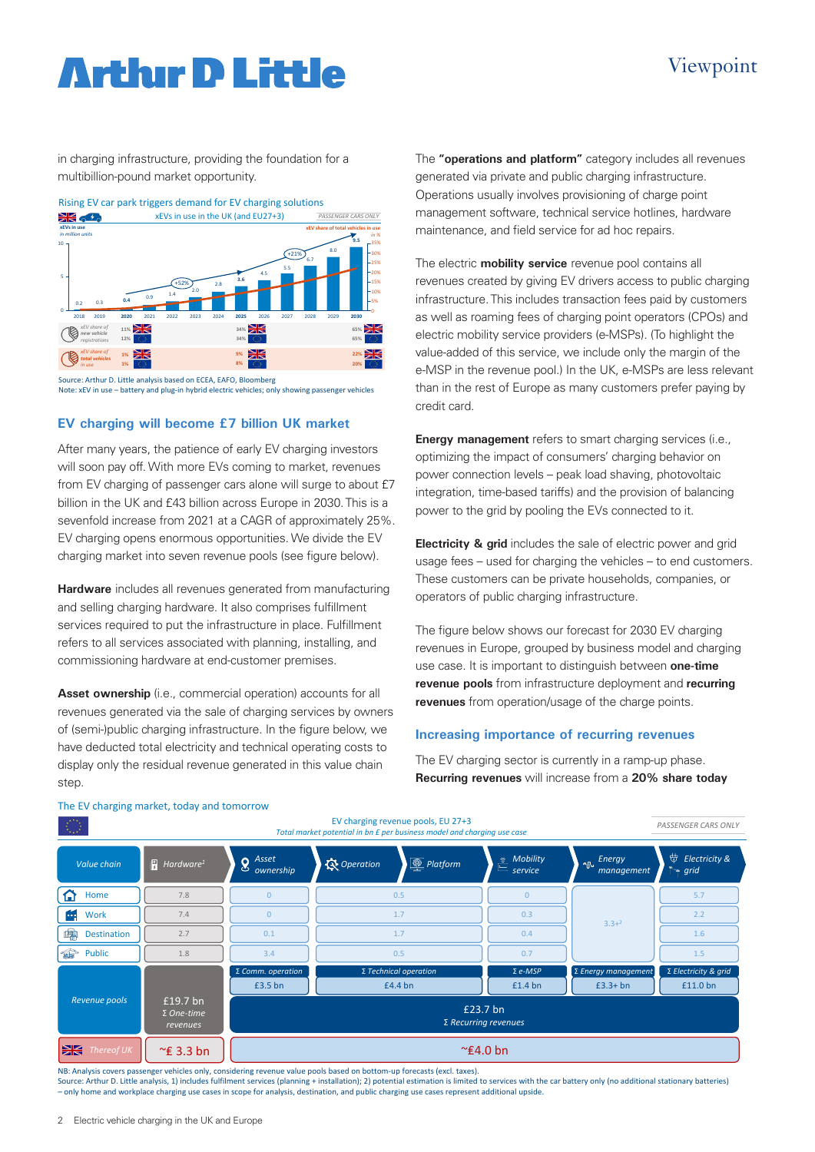# Viewpoint

# **Arthır D Little**

in charging infrastructure, providing the foundation for a multibillion-pound market opportunity.



Source: Arthur D. Little analysis based on ECEA, EAFO, Bloomberg Note: xEV in use – battery and plug-in hybrid electric vehicles; only showing passenger vehicles

### **EV charging will become £7 billion UK market**

After many years, the patience of early EV charging investors will soon pay off. With more EVs coming to market, revenues from EV charging of passenger cars alone will surge to about £7 billion in the UK and £43 billion across Europe in 2030. This is a sevenfold increase from 2021 at a CAGR of approximately 25%. EV charging opens enormous opportunities. We divide the EV charging market into seven revenue pools (see figure below).

**Hardware** includes all revenues generated from manufacturing and selling charging hardware. It also comprises fulfillment services required to put the infrastructure in place. Fulfillment refers to all services associated with planning, installing, and commissioning hardware at end-customer premises.

**Asset ownership** (i.e., commercial operation) accounts for all revenues generated via the sale of charging services by owners of (semi-)public charging infrastructure. In the figure below, we have deducted total electricity and technical operating costs to display only the residual revenue generated in this value chain step.

The **"operations and platform"** category includes all revenues generated via private and public charging infrastructure. Operations usually involves provisioning of charge point management software, technical service hotlines, hardware maintenance, and field service for ad hoc repairs.

The electric **mobility service** revenue pool contains all revenues created by giving EV drivers access to public charging infrastructure. This includes transaction fees paid by customers as well as roaming fees of charging point operators (CPOs) and electric mobility service providers (e-MSPs). (To highlight the value-added of this service, we include only the margin of the e-MSP in the revenue pool.) In the UK, e-MSPs are less relevant than in the rest of Europe as many customers prefer paying by credit card.

**Energy management** refers to smart charging services (i.e., optimizing the impact of consumers' charging behavior on power connection levels – peak load shaving, photovoltaic integration, time-based tariffs) and the provision of balancing power to the grid by pooling the EVs connected to it.

**Electricity & grid** includes the sale of electric power and grid usage fees – used for charging the vehicles – to end customers. These customers can be private households, companies, or operators of public charging infrastructure.

The figure below shows our forecast for 2030 EV charging revenues in Europe, grouped by business model and charging use case. It is important to distinguish between **one-time revenue pools** from infrastructure deployment and **recurring revenues** from operation/usage of the charge points.

### **Increasing importance of recurring revenues**

The EV charging sector is currently in a ramp-up phase. **Recurring revenues** will increase from a **20% share today** 



#### The EV charging market, today and tomorrow

NB: Analysis covers passenger vehicles only, considering revenue value pools based on bottom-up forecasts (excl. taxes).

Source: Arthur D. Little analysis, 1) includes fulfilment services (planning + installation); 2) potential estimation is limited to services with the car battery only (no additional stationary batteries) – only home and workplace charging use cases in scope for analysis, destination, and public charging use cases represent additional upside.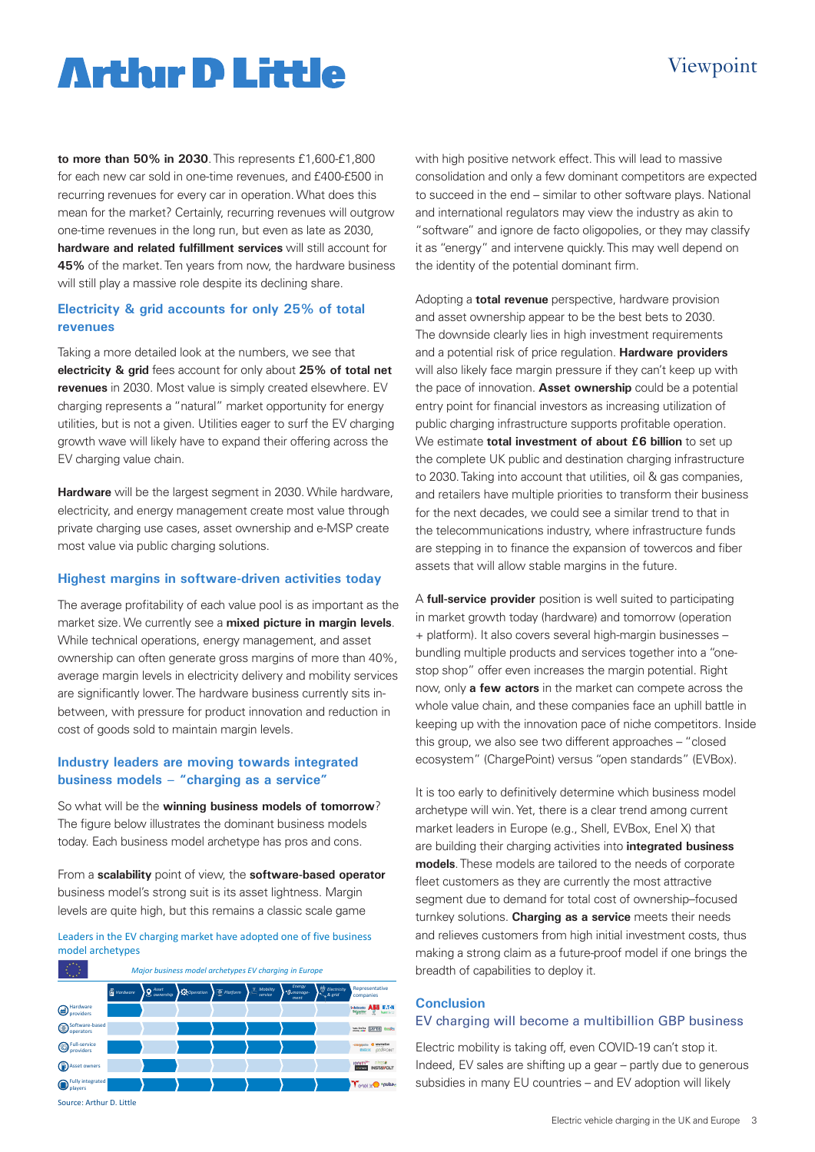# **Arthir D Little**

## Viewpoint

**to more than 50% in 2030**. This represents £1,600-£1,800 for each new car sold in one-time revenues, and £400-£500 in recurring revenues for every car in operation. What does this mean for the market? Certainly, recurring revenues will outgrow one-time revenues in the long run, but even as late as 2030, **hardware and related fulfillment services** will still account for **45%** of the market. Ten years from now, the hardware business will still play a massive role despite its declining share.

### **Electricity & grid accounts for only 25% of total revenues**

Taking a more detailed look at the numbers, we see that **electricity & grid** fees account for only about **25% of total net revenues** in 2030. Most value is simply created elsewhere. EV charging represents a "natural" market opportunity for energy utilities, but is not a given. Utilities eager to surf the EV charging growth wave will likely have to expand their offering across the EV charging value chain.

**Hardware** will be the largest segment in 2030. While hardware, electricity, and energy management create most value through private charging use cases, asset ownership and e-MSP create most value via public charging solutions.

### **Highest margins in software-driven activities today**

The average profitability of each value pool is as important as the market size. We currently see a **mixed picture in margin levels**. While technical operations, energy management, and asset ownership can often generate gross margins of more than 40%, average margin levels in electricity delivery and mobility services are significantly lower. The hardware business currently sits inbetween, with pressure for product innovation and reduction in cost of goods sold to maintain margin levels.

### **Industry leaders are moving towards integrated business models – "charging as a service"**

So what will be the **winning business models of tomorrow**? The figure below illustrates the dominant business models today. Each business model archetype has pros and cons.

From a **scalability** point of view, the **software-based operator** business model's strong suit is its asset lightness. Margin levels are quite high, but this remains a classic scale game

Leaders in the EV charging market have adopted one of five business model archetypes



Source: Arthur D. Little

with high positive network effect. This will lead to massive consolidation and only a few dominant competitors are expected to succeed in the end – similar to other software plays. National and international regulators may view the industry as akin to "software" and ignore de facto oligopolies, or they may classify it as "energy" and intervene quickly. This may well depend on the identity of the potential dominant firm.

Adopting a **total revenue** perspective, hardware provision and asset ownership appear to be the best bets to 2030. The downside clearly lies in high investment requirements and a potential risk of price regulation. **Hardware providers** will also likely face margin pressure if they can't keep up with the pace of innovation. **Asset ownership** could be a potential entry point for financial investors as increasing utilization of public charging infrastructure supports profitable operation. We estimate **total investment of about £6 billion** to set up the complete UK public and destination charging infrastructure to 2030. Taking into account that utilities, oil & gas companies, and retailers have multiple priorities to transform their business for the next decades, we could see a similar trend to that in the telecommunications industry, where infrastructure funds are stepping in to finance the expansion of towercos and fiber assets that will allow stable margins in the future.

A **full-service provider** position is well suited to participating in market growth today (hardware) and tomorrow (operation + platform). It also covers several high-margin businesses – bundling multiple products and services together into a "onestop shop" offer even increases the margin potential. Right now, only **a few actors** in the market can compete across the whole value chain, and these companies face an uphill battle in keeping up with the innovation pace of niche competitors. Inside this group, we also see two different approaches – "closed ecosystem" (ChargePoint) versus "open standards" (EVBox).

It is too early to definitively determine which business model archetype will win. Yet, there is a clear trend among current market leaders in Europe (e.g., Shell, EVBox, Enel X) that are building their charging activities into **integrated business models**. These models are tailored to the needs of corporate fleet customers as they are currently the most attractive segment due to demand for total cost of ownership–focused turnkey solutions. **Charging as a service** meets their needs and relieves customers from high initial investment costs, thus making a strong claim as a future-proof model if one brings the breadth of capabilities to deploy it.

## **Conclusion**

#### EV charging will become a multibillion GBP business

Electric mobility is taking off, even COVID-19 can't stop it. Indeed, EV sales are shifting up a gear – partly due to generous subsidies in many EU countries – and EV adoption will likely